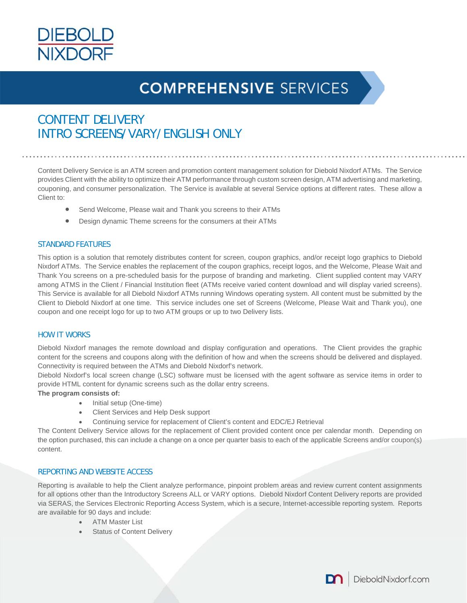

# **COMPREHENSIVE SERVICES**

# CONTENT DELIVERY INTRO SCREENS/VARY/ENGLISH ONLY

Content Delivery Service is an ATM screen and promotion content management solution for Diebold Nixdorf ATMs. The Service provides Client with the ability to optimize their ATM performance through custom screen design, ATM advertising and marketing, couponing, and consumer personalization. The Service is available at several Service options at different rates. These allow a Client to:

- Send Welcome, Please wait and Thank you screens to their ATMs
- Design dynamic Theme screens for the consumers at their ATMs

### STANDARD FEATURES

This option is a solution that remotely distributes content for screen, coupon graphics, and/or receipt logo graphics to Diebold Nixdorf ATMs. The Service enables the replacement of the coupon graphics, receipt logos, and the Welcome, Please Wait and Thank You screens on a pre-scheduled basis for the purpose of branding and marketing. Client supplied content may VARY among ATMS in the Client / Financial Institution fleet (ATMs receive varied content download and will display varied screens). This Service is available for all Diebold Nixdorf ATMs running Windows operating system. All content must be submitted by the Client to Diebold Nixdorf at one time. This service includes one set of Screens (Welcome, Please Wait and Thank you), one coupon and one receipt logo for up to two ATM groups or up to two Delivery lists.

#### HOW IT WORKS

Diebold Nixdorf manages the remote download and display configuration and operations. The Client provides the graphic content for the screens and coupons along with the definition of how and when the screens should be delivered and displayed. Connectivity is required between the ATMs and Diebold Nixdorf's network.

Diebold Nixdorf's local screen change (LSC) software must be licensed with the agent software as service items in order to provide HTML content for dynamic screens such as the dollar entry screens.

**The program consists of:** 

- Initial setup (One-time)
- Client Services and Help Desk support
- Continuing service for replacement of Client's content and EDC/EJ Retrieval

The Content Delivery Service allows for the replacement of Client provided content once per calendar month. Depending on the option purchased, this can include a change on a once per quarter basis to each of the applicable Screens and/or coupon(s) content.

#### REPORTING AND WEBSITE ACCESS

Reporting is available to help the Client analyze performance, pinpoint problem areas and review current content assignments for all options other than the Introductory Screens ALL or VARY options. Diebold Nixdorf Content Delivery reports are provided via SERAS, the Services Electronic Reporting Access System, which is a secure, Internet-accessible reporting system. Reports are available for 90 days and include:

- ATM Master List
- Status of Content Delivery

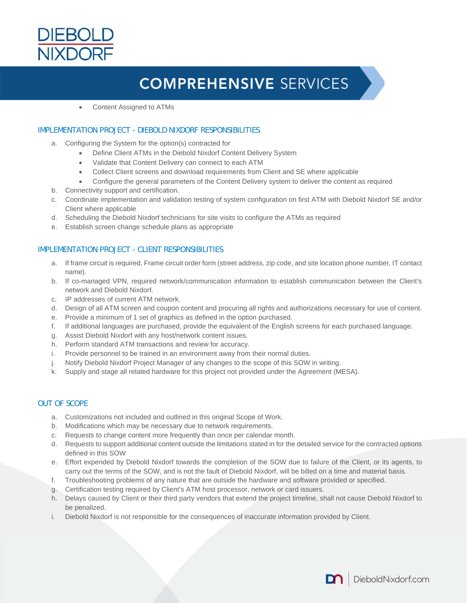

# **COMPREHENSIVE SERVICES**

Content Assigned to ATMs

### IMPLEMENTATION PROJECT - DIEBOLD NIXDORF RESPONSIBILITIES

- a. Configuring the System for the option(s) contracted for
	- Define Client ATMs in the Diebold Nixdorf Content Delivery System
	- Validate that Content Delivery can connect to each ATM
	- Collect Client screens and download requirements from Client and SE where applicable
	- Configure the general parameters of the Content Delivery system to deliver the content as required
- b. Connectivity support and certification.
- c. Coordinate implementation and validation testing of system configuration on first ATM with Diebold Nixdorf SE and/or Client where applicable
- d. Scheduling the Diebold Nixdorf technicians for site visits to configure the ATMs as required
- e. Establish screen change schedule plans as appropriate

### IMPLEMENTATION PROJECT - CLIENT RESPONSIBILITIES

- a. If frame circuit is required, Frame circuit order form (street address, zip code, and site location phone number, IT contact name).
- b. If co-managed VPN, required network/communication information to establish communication between the Client's network and Diebold Nixdorf.
- c. IP addresses of current ATM network.
- d. Design of all ATM screen and coupon content and procuring all rights and authorizations necessary for use of content.
- e. Provide a minimum of 1 set of graphics as defined in the option purchased.
- f. If additional languages are purchased, provide the equivalent of the English screens for each purchased language.
- g. Assist Diebold Nixdorf with any host/network content issues.
- h. Perform standard ATM transactions and review for accuracy.
- i. Provide personnel to be trained in an environment away from their normal duties.
- j. Notify Diebold Nixdorf Project Manager of any changes to the scope of this SOW in writing.
- k. Supply and stage all related hardware for this project not provided under the Agreement (MESA).

#### OUT OF SCOPE

- a. Customizations not included and outlined in this original Scope of Work.
- b. Modifications which may be necessary due to network requirements.
- c. Requests to change content more frequently than once per calendar month.
- d. Requests to support additional content outside the limitations stated in for the detailed service for the contracted options defined in this SOW
- e. Effort expended by Diebold Nixdorf towards the completion of the SOW due to failure of the Client, or its agents, to carry out the terms of the SOW, and is not the fault of Diebold Nixdorf, will be billed on a time and material basis.
- f. Troubleshooting problems of any nature that are outside the hardware and software provided or specified.
- g. Certification testing required by Client's ATM host processor, network or card issuers.
- h. Delays caused by Client or their third party vendors that extend the project timeline, shall not cause Diebold Nixdorf to be penalized.
- i. Diebold Nixdorf is not responsible for the consequences of inaccurate information provided by Client.